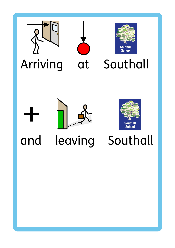





## Arriving at Southall



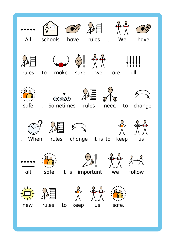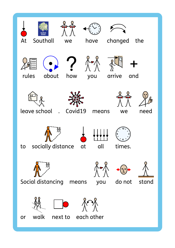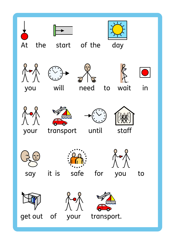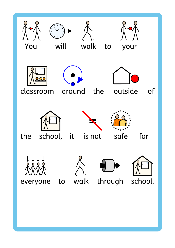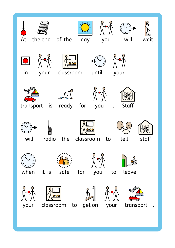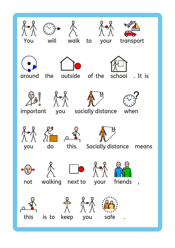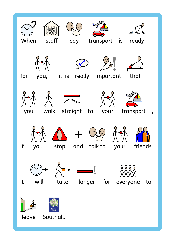